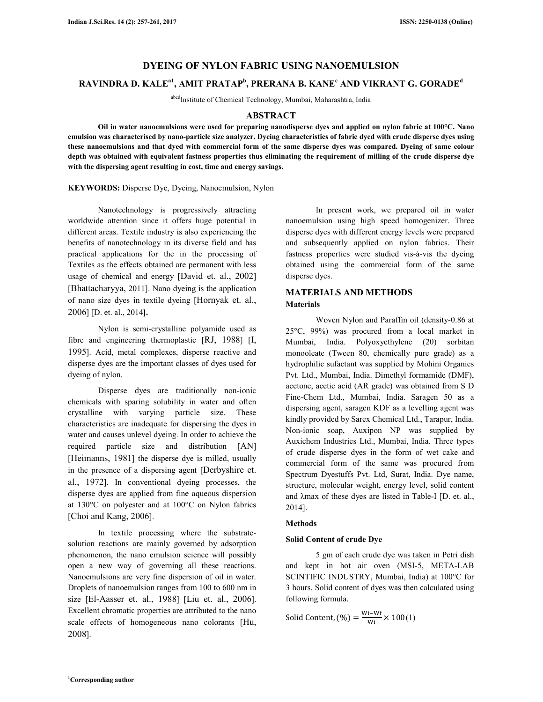# **DYEING OF NYLON FABRIC USING NANOEMULSION**

# **RAVINDRA D. KALEa1, AMIT PRATAP<sup>b</sup> , PRERANA B. KANE<sup>c</sup> AND VIKRANT G. GORADE<sup>d</sup>**

abcdInstitute of Chemical Technology, Mumbai, Maharashtra, India

#### **ABSTRACT**

**Oil in water nanoemulsions were used for preparing nanodisperse dyes and applied on nylon fabric at 100°C. Nano emulsion was characterised by nano-particle size analyzer. Dyeing characteristics of fabric dyed with crude disperse dyes using these nanoemulsions and that dyed with commercial form of the same disperse dyes was compared. Dyeing of same colour depth was obtained with equivalent fastness properties thus eliminating the requirement of milling of the crude disperse dye with the dispersing agent resulting in cost, time and energy savings.** 

**KEYWORDS:** Disperse Dye, Dyeing, Nanoemulsion, Nylon

 Nanotechnology is progressively attracting worldwide attention since it offers huge potential in different areas. Textile industry is also experiencing the benefits of nanotechnology in its diverse field and has practical applications for the in the processing of Textiles as the effects obtained are permanent with less usage of chemical and energy [David et. al., 2002] [Bhattacharyya, 2011]. Nano dyeing is the application of nano size dyes in textile dyeing [Hornyak et. al., 2006] [D. et. al., 2014**].** 

 Nylon is semi-crystalline polyamide used as fibre and engineering thermoplastic [RJ, 1988] [I, 1995]. Acid, metal complexes, disperse reactive and disperse dyes are the important classes of dyes used for dyeing of nylon.

 Disperse dyes are traditionally non-ionic chemicals with sparing solubility in water and often crystalline with varying particle size. These characteristics are inadequate for dispersing the dyes in water and causes unlevel dyeing. In order to achieve the required particle size and distribution [AN] [Heimanns, 1981] the disperse dye is milled, usually in the presence of a dispersing agent [Derbyshire et. al., 1972]. In conventional dyeing processes, the disperse dyes are applied from fine aqueous dispersion at 130°C on polyester and at 100°C on Nylon fabrics [Choi and Kang, 2006].

 In textile processing where the substratesolution reactions are mainly governed by adsorption phenomenon, the nano emulsion science will possibly open a new way of governing all these reactions. Nanoemulsions are very fine dispersion of oil in water. Droplets of nanoemulsion ranges from 100 to 600 nm in size [El-Aasser et. al., 1988] [Liu et. al., 2006]. Excellent chromatic properties are attributed to the nano scale effects of homogeneous nano colorants [Hu, 2008].

 In present work, we prepared oil in water nanoemulsion using high speed homogenizer. Three disperse dyes with different energy levels were prepared and subsequently applied on nylon fabrics. Their fastness properties were studied vis-à-vis the dyeing obtained using the commercial form of the same disperse dyes.

# **MATERIALS AND METHODS Materials**

 Woven Nylon and Paraffin oil (density-0.86 at 25°C, 99%) was procured from a local market in Mumbai, India. Polyoxyethylene (20) sorbitan monooleate (Tween 80, chemically pure grade) as a hydrophilic sufactant was supplied by Mohini Organics Pvt. Ltd., Mumbai, India. Dimethyl formamide (DMF), acetone, acetic acid (AR grade) was obtained from S D Fine-Chem Ltd., Mumbai, India. Saragen 50 as a dispersing agent, saragen KDF as a levelling agent was kindly provided by Sarex Chemical Ltd., Tarapur, India. Non-ionic soap, Auxipon NP was supplied by Auxichem Industries Ltd., Mumbai, India. Three types of crude disperse dyes in the form of wet cake and commercial form of the same was procured from Spectrum Dyestuffs Pvt. Ltd, Surat, India. Dye name, structure, molecular weight, energy level, solid content and λmax of these dyes are listed in Table-I [D. et. al., 2014].

### **Methods**

### **Solid Content of crude Dye**

 5 gm of each crude dye was taken in Petri dish and kept in hot air oven (MSI-5, META-LAB SCINTIFIC INDUSTRY, Mumbai, India) at 100°C for 3 hours. Solid content of dyes was then calculated using following formula.

$$
Solid Content, (\%) = \frac{Wi - Wf}{Wi} \times 100(1)
$$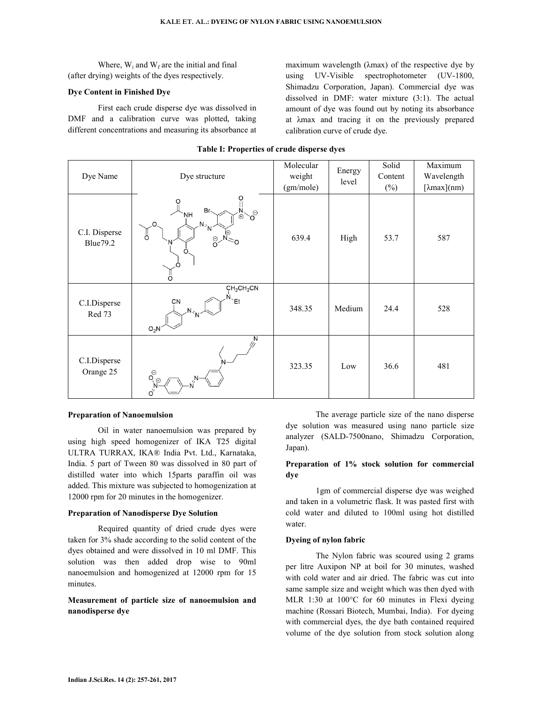Where,  $W_i$  and  $W_f$  are the initial and final (after drying) weights of the dyes respectively.

#### **Dye Content in Finished Dye**

 First each crude disperse dye was dissolved in DMF and a calibration curve was plotted, taking different concentrations and measuring its absorbance at maximum wavelength (λmax) of the respective dye by using UV-Visible spectrophotometer (UV-1800, Shimadzu Corporation, Japan). Commercial dye was dissolved in DMF: water mixture (3:1). The actual amount of dye was found out by noting its absorbance at λmax and tracing it on the previously prepared calibration curve of crude dye.

| Dye Name                          | Dye structure                                                                                                                                | Molecular<br>weight<br>(gm/mole) | Energy<br>level | Solid<br>Content<br>$(\%)$ | Maximum<br>Wavelength<br>$[\lambda max](nm)$ |
|-----------------------------------|----------------------------------------------------------------------------------------------------------------------------------------------|----------------------------------|-----------------|----------------------------|----------------------------------------------|
| C.I. Disperse<br><b>Blue</b> 79.2 | O<br>Ω<br>Br<<br>$\mathcal{S}^{\ominus}$<br><b>NH</b><br>$\bigoplus$<br>$N_{\gamma N}$<br>ő<br>$\frac{\Theta}{\Theta}$<br>N<br>O<br>$\Omega$ | 639.4                            | High            | 53.7                       | 587                                          |
| C.I.Disperse<br>Red 73            | CH <sub>2</sub> CH <sub>2</sub> CN<br>$N_{\text{eff}}$<br>CN<br>$N_{\rm sp}$<br>$O_2N$                                                       | 348.35                           | Medium          | 24.4                       | 528                                          |
| C.I.Disperse<br>Orange 25         | Ν<br>$\overset{\odot}{\mathsf{O}_{\left(\oplus\right)}}$<br>$\sigma'$                                                                        | 323.35                           | Low             | 36.6                       | 481                                          |

#### **Table I: Properties of crude disperse dyes**

#### **Preparation of Nanoemulsion**

 Oil in water nanoemulsion was prepared by using high speed homogenizer of IKA T25 digital ULTRA TURRAX, IKA® India Pvt. Ltd., Karnataka, India. 5 part of Tween 80 was dissolved in 80 part of distilled water into which 15parts paraffin oil was added. This mixture was subjected to homogenization at 12000 rpm for 20 minutes in the homogenizer.

### **Preparation of Nanodisperse Dye Solution**

 Required quantity of dried crude dyes were taken for 3% shade according to the solid content of the dyes obtained and were dissolved in 10 ml DMF. This solution was then added drop wise to 90ml nanoemulsion and homogenized at 12000 rpm for 15 minutes.

## **Measurement of particle size of nanoemulsion and nanodisperse dye**

 The average particle size of the nano disperse dye solution was measured using nano particle size analyzer (SALD-7500nano, Shimadzu Corporation, Japan).

## **Preparation of 1% stock solution for commercial dye**

 1gm of commercial disperse dye was weighed and taken in a volumetric flask. It was pasted first with cold water and diluted to 100ml using hot distilled water.

#### **Dyeing of nylon fabric**

 The Nylon fabric was scoured using 2 grams per litre Auxipon NP at boil for 30 minutes, washed with cold water and air dried. The fabric was cut into same sample size and weight which was then dyed with MLR 1:30 at 100°C for 60 minutes in Flexi dyeing machine (Rossari Biotech, Mumbai, India). For dyeing with commercial dyes, the dye bath contained required volume of the dye solution from stock solution along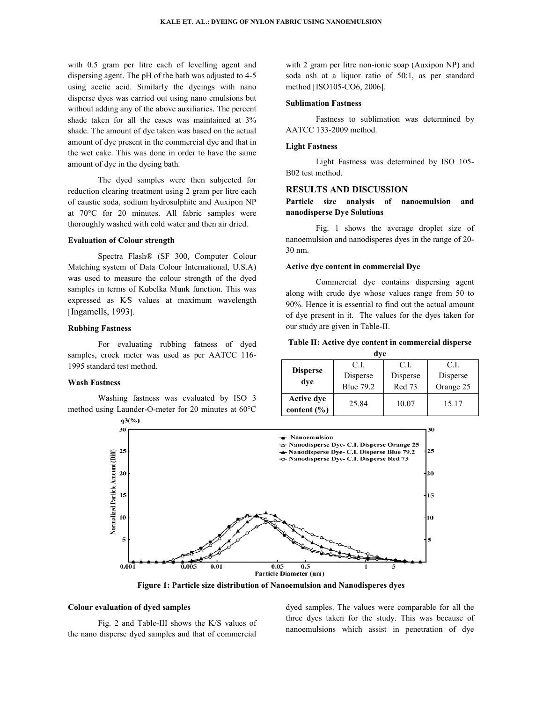with 0.5 gram per litre each of levelling agent and dispersing agent. The pH of the bath was adjusted to 4-5 using acetic acid. Similarly the dyeings with nano disperse dyes was carried out using nano emulsions but without adding any of the above auxiliaries. The percent shade taken for all the cases was maintained at 3% shade. The amount of dye taken was based on the actual amount of dye present in the commercial dye and that in the wet cake. This was done in order to have amount of dye in the dyeing bath. acid. Similarly the dyeings with nano<br>was carried out using nano emulsions but<br>g any of the above auxiliaries. The percent The amount of dye taken was based on the actual<br>of dye present in the commercial dye and that in<br>cake. This was done in order to have the same

The dyed samples were then subjected for The dyed samples were then subjected for reduction clearing treatment using 2 gram per litre each of caustic soda, sodium hydrosulphite and Auxipon NP at 70°C for 20 minutes. All fabric samples were thoroughly washed with cold water and then air dried.

#### **Evaluation of Colour strength**

Spectra Flash® (SF 300, Computer Colour Matching system of Data Colour International, U.S.A) was used to measure the colour strength of the dyed samples in terms of Kubelka Munk function. This was expressed as K⁄S values at maximum wavelength [Ingamells, 1993]. inutes. All fabric samples were<br>
ith cold water and then air dried.<br> **r strength**<br>
sh® (SF 300, Computer Colour<br>
Data Colour International, U.S.A) Kubelka Munk function. This was<br>values at maximum wavelength<br>ting rubbing fatness of dyed<br>r was used as per AATCC 116-

### **Rubbing Fastness**

For evaluating rubbing fatness of dyed samples, crock meter was used as per AATCC 116 1995 standard test method.

## **Wash Fastness**

Washing fastness was evaluated by ISO 3 Washing fastness was evaluated by ISO 3 method using Launder-O-meter for 20 minutes at 60°C with 2 gram per litre non-ionic soap (Auxipon NP) and with 2 gram per litre non-ionic soap (Auxipon NP) and soda ash at a liquor ratio of 50:1, as per standard method [ISO105-CO6, 2006].

#### **Sublimation Fastness**

Fastness to sublimation was determined by AATCC 133-2009 method.

### **Light Fastness**

Light Fastness was determined by ISO 105-B02 test method.

#### **RESULTS AND DISCUSSION**

## **Particle size analysis of n nanoemulsion and nanodisperse Dye Solutions**

Fig. 1 shows the average droplet size of nanoemulsion and nanodisperes dyes in the range of 20-30 nm.

#### **Active dye content in commercial Dye**

Commercial dye contains dispersing agent along with crude dye whose values range from 50 to 90%. Hence it is essential to find out the actual amount 90%. Hence it is essential to find out the actual amount of dye present in it. The values for the dyes taken for our study are given in Table-II.

| Table II: Active dye content in commercial disperse |     |  |
|-----------------------------------------------------|-----|--|
|                                                     | dve |  |

| u v v                         |                  |          |           |  |  |
|-------------------------------|------------------|----------|-----------|--|--|
|                               | C.I.             | C.I.     | C.L       |  |  |
| <b>Disperse</b>               | Disperse         | Disperse | Disperse  |  |  |
| dve                           | <b>Blue 79.2</b> | Red 73   | Orange 25 |  |  |
| Active dye<br>content $(\% )$ | 25.84            | 10.07    | 15.17     |  |  |



Figure 1: Particle size distribution of Nanoemulsion and Nanodisperes dyes

#### **Colour evaluation of dyed samples**

 Fig. 2 and Table-III shows the K/S values of the nano disperse dyed samples and that of commercial

dyed samples. The values were comparable<br>three dyes taken for the study. This was l<br>at of commercial nanoemulsions which assist in penetratio three dyes taken for the study. This was because of nanoemulsions which assist in penetration of dye dyed samples. The values were comparable for all the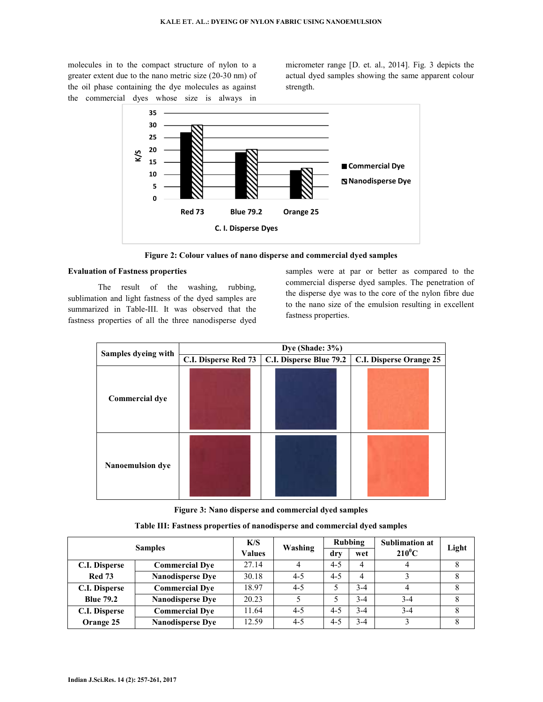molecules in to the compact structure of nylon to a greater extent due to the nano metric size (20-30 nm) of the oil phase containing the dye molecules as against the commercial dyes whose size is always in

micrometer range [D. et. al., 2014]. Fig. 3 depicts the actual dyed samples showing the same apparent colour strength.



**Figure 2: Colour values of nano disperse and commercial dyed samples** 

## **Evaluation of Fastness properties**

 The result of the washing, rubbing, sublimation and light fastness of the dyed samples are summarized in Table-III. It was observed that the fastness properties of all the three nanodisperse dyed

samples were at par or better as compared to the commercial disperse dyed samples. The penetration of the disperse dye was to the core of the nylon fibre due to the nano size of the emulsion resulting in excellent fastness properties.

|                       | Dye (Shade: 3%)      |                         |                         |  |  |
|-----------------------|----------------------|-------------------------|-------------------------|--|--|
| Samples dyeing with   | C.I. Disperse Red 73 | C.I. Disperse Blue 79.2 | C.I. Disperse Orange 25 |  |  |
| <b>Commercial dye</b> |                      |                         |                         |  |  |
| Nanoemulsion dye      |                      |                         |                         |  |  |

**Figure 3: Nano disperse and commercial dyed samples**

| <b>Samples</b>       |                         | K/S<br><b>Values</b> | Washing | Rubbing |         | <b>Sublimation at</b> | Light |
|----------------------|-------------------------|----------------------|---------|---------|---------|-----------------------|-------|
|                      |                         |                      |         | dry     | wet     | $210^0C$              |       |
| C.I. Disperse        | <b>Commercial Dye</b>   | 27.14                | 4       | $4 - 5$ | 4       | 4                     | 8     |
| <b>Red 73</b>        | <b>Nanodisperse Dye</b> | 30.18                | $4 - 5$ | $4 - 5$ | 4       |                       | 8     |
| C.I. Disperse        | <b>Commercial Dye</b>   | 18.97                | $4 - 5$ |         | $3-4$   | 4                     |       |
| <b>Blue 79.2</b>     | <b>Nanodisperse Dye</b> | 20.23                |         | 5       | $3-4$   | $3-4$                 | 8     |
| <b>C.I. Disperse</b> | <b>Commercial Dve</b>   | 11.64                | $4 - 5$ | $4 - 5$ | $3-4$   | $3 - 4$               | 8     |
| Orange 25            | <b>Nanodisperse Dve</b> | 12.59                | $4 - 5$ | $4 - 5$ | $3 - 4$ |                       | 8     |

**Table III: Fastness properties of nanodisperse and commercial dyed samples**